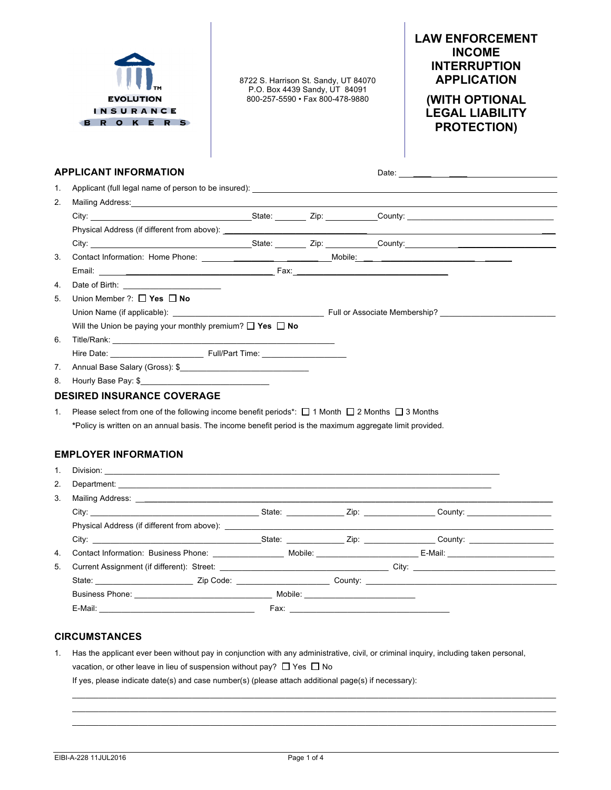

8722 S. Harrison St. Sandy, UT 84070 P.O. Box 4439 Sandy, UT 84091 800-257-5590 • Fax 800-478-9880

# **LAW ENFORCEMENT INCOME INTERRUPTION APPLICATION**

**(WITH OPTIONAL LEGAL LIABILITY PROTECTION)**

## **APPLICANT INFORMATION** Date:

| 1.             |                                                                                                                                                                                                                                |  |  |
|----------------|--------------------------------------------------------------------------------------------------------------------------------------------------------------------------------------------------------------------------------|--|--|
| 2.             |                                                                                                                                                                                                                                |  |  |
|                |                                                                                                                                                                                                                                |  |  |
|                |                                                                                                                                                                                                                                |  |  |
|                | City: City: Cubic City: Cubic County: City: County: County: County: County: City: County: County: County: County: County: County: County: County: County: County: County: County: County: County: County: County: County: Coun |  |  |
| 3.             |                                                                                                                                                                                                                                |  |  |
|                |                                                                                                                                                                                                                                |  |  |
| 4.             |                                                                                                                                                                                                                                |  |  |
| 5.             | Union Member ?: $\Box$ Yes $\Box$ No                                                                                                                                                                                           |  |  |
|                |                                                                                                                                                                                                                                |  |  |
|                | Will the Union be paying your monthly premium? $\Box$ Yes $\Box$ No                                                                                                                                                            |  |  |
| 6.             |                                                                                                                                                                                                                                |  |  |
|                | Hire Date: Full/Part Time:                                                                                                                                                                                                     |  |  |
| 7 <sup>1</sup> |                                                                                                                                                                                                                                |  |  |
| 8.             |                                                                                                                                                                                                                                |  |  |
|                | <b>DESIRED INSURANCE COVERAGE</b>                                                                                                                                                                                              |  |  |
| 1.             | Please select from one of the following income benefit periods <sup>*</sup> : $\Box$ 1 Month $\Box$ 2 Months $\Box$ 3 Months                                                                                                   |  |  |
|                | *Policy is written on an annual basis. The income benefit period is the maximum aggregate limit provided.                                                                                                                      |  |  |

## **EMPLOYER INFORMATION**

| $1_{-}$ |                                                                                                                                                                                                                                |  |                                                                                                               |  |  |
|---------|--------------------------------------------------------------------------------------------------------------------------------------------------------------------------------------------------------------------------------|--|---------------------------------------------------------------------------------------------------------------|--|--|
| 2.      |                                                                                                                                                                                                                                |  |                                                                                                               |  |  |
| 3.      |                                                                                                                                                                                                                                |  |                                                                                                               |  |  |
|         | City: City: County: City: County: County: County: County: County: County: County: County: County: County: County: County: County: County: County: County: County: County: County: County: County: County: County: County: Coun |  |                                                                                                               |  |  |
|         | Physical Address (if different from above): Notified that the state of the state of the state of the state of the state of the state of the state of the state of the state of the state of the state of the state of the stat |  |                                                                                                               |  |  |
|         | City: City: County: City: County: County: County: County: County: County: County: County: County: County: County: County: County: County: County: County: County: County: County: County: County: County: County: County: Coun |  |                                                                                                               |  |  |
| 4.      | Contact Information: Business Phone: Mobile: Mobile: Contact Information: Business Phone: Mobile: E-Mail:                                                                                                                      |  |                                                                                                               |  |  |
| 5.      |                                                                                                                                                                                                                                |  |                                                                                                               |  |  |
|         | State: State: State: State: State: State: State: State: State: State: State: State: State: State: State: State: State: State: State: State: State: State: State: State: State: State: State: State: State: State: State: State |  |                                                                                                               |  |  |
|         | <b>Business Phone:</b> Mobile: Mobile: Mobile: 2004.                                                                                                                                                                           |  |                                                                                                               |  |  |
|         |                                                                                                                                                                                                                                |  | Fax: 2008 - 2008 - 2008 - 2008 - 2008 - 2019 - 2019 - 2019 - 2019 - 2019 - 2019 - 2019 - 2019 - 2019 - 2019 - |  |  |

## **CIRCUMSTANCES**

1. Has the applicant ever been without pay in conjunction with any administrative, civil, or criminal inquiry, including taken personal, vacation, or other leave in lieu of suspension without pay?  $\Box$  Yes  $\Box$  No If yes, please indicate date(s) and case number(s) (please attach additional page(s) if necessary):

 $\_$  ,  $\_$  ,  $\_$  ,  $\_$  ,  $\_$  ,  $\_$  ,  $\_$  ,  $\_$  ,  $\_$  ,  $\_$  ,  $\_$  ,  $\_$  ,  $\_$  ,  $\_$  ,  $\_$  ,  $\_$  ,  $\_$  ,  $\_$  ,  $\_$  ,  $\_$  ,  $\_$  ,  $\_$  ,  $\_$  ,  $\_$  ,  $\_$  ,  $\_$  ,  $\_$  ,  $\_$  ,  $\_$  ,  $\_$  ,  $\_$  ,  $\_$  ,  $\_$  ,  $\_$  ,  $\_$  ,  $\_$  ,  $\_$  , \_\_\_\_\_\_\_\_\_\_\_\_\_\_\_\_\_\_\_\_\_\_\_\_\_\_\_\_\_\_\_\_\_\_\_\_\_\_\_\_\_\_\_\_\_\_\_\_\_\_\_\_\_\_\_\_\_\_\_\_\_\_\_\_\_\_\_\_\_\_\_\_\_\_\_\_\_\_\_\_\_\_\_\_\_\_\_\_\_\_\_\_\_\_\_\_\_\_\_\_\_\_\_\_\_\_\_\_\_  $\mathcal{L}_\mathcal{L} = \mathcal{L}_\mathcal{L} = \mathcal{L}_\mathcal{L} = \mathcal{L}_\mathcal{L} = \mathcal{L}_\mathcal{L} = \mathcal{L}_\mathcal{L} = \mathcal{L}_\mathcal{L} = \mathcal{L}_\mathcal{L} = \mathcal{L}_\mathcal{L} = \mathcal{L}_\mathcal{L} = \mathcal{L}_\mathcal{L} = \mathcal{L}_\mathcal{L} = \mathcal{L}_\mathcal{L} = \mathcal{L}_\mathcal{L} = \mathcal{L}_\mathcal{L} = \mathcal{L}_\mathcal{L} = \mathcal{L}_\mathcal{L}$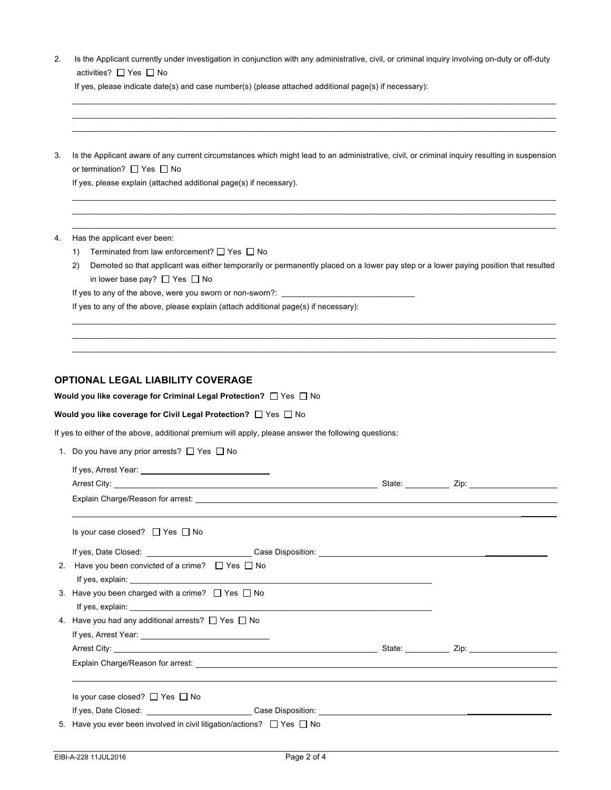| 2. Is the Applicant currently under investigation in conjunction with any administrative, civil, or criminal inquiry involving on-duty or off-duty |
|----------------------------------------------------------------------------------------------------------------------------------------------------|
| activities? $\Box$ Yes $\Box$ No                                                                                                                   |

 $\mathcal{L}_\mathcal{L} = \mathcal{L}_\mathcal{L} = \mathcal{L}_\mathcal{L} = \mathcal{L}_\mathcal{L} = \mathcal{L}_\mathcal{L} = \mathcal{L}_\mathcal{L} = \mathcal{L}_\mathcal{L} = \mathcal{L}_\mathcal{L} = \mathcal{L}_\mathcal{L} = \mathcal{L}_\mathcal{L} = \mathcal{L}_\mathcal{L} = \mathcal{L}_\mathcal{L} = \mathcal{L}_\mathcal{L} = \mathcal{L}_\mathcal{L} = \mathcal{L}_\mathcal{L} = \mathcal{L}_\mathcal{L} = \mathcal{L}_\mathcal{L}$  $\mathcal{L}_\mathcal{L} = \mathcal{L}_\mathcal{L} = \mathcal{L}_\mathcal{L} = \mathcal{L}_\mathcal{L} = \mathcal{L}_\mathcal{L} = \mathcal{L}_\mathcal{L} = \mathcal{L}_\mathcal{L} = \mathcal{L}_\mathcal{L} = \mathcal{L}_\mathcal{L} = \mathcal{L}_\mathcal{L} = \mathcal{L}_\mathcal{L} = \mathcal{L}_\mathcal{L} = \mathcal{L}_\mathcal{L} = \mathcal{L}_\mathcal{L} = \mathcal{L}_\mathcal{L} = \mathcal{L}_\mathcal{L} = \mathcal{L}_\mathcal{L}$ \_\_\_\_\_\_\_\_\_\_\_\_\_\_\_\_\_\_\_\_\_\_\_\_\_\_\_\_\_\_\_\_\_\_\_\_\_\_\_\_\_\_\_\_\_\_\_\_\_\_\_\_\_\_\_\_\_\_\_\_\_\_\_\_\_\_\_\_\_\_\_\_\_\_\_\_\_\_\_\_\_\_\_\_\_\_\_\_\_\_\_\_\_\_\_\_\_\_\_\_\_\_\_\_\_\_\_\_\_

|  |  | If yes, please indicate date(s) and case number(s) (please attached additional page(s) if necessary): |  |
|--|--|-------------------------------------------------------------------------------------------------------|--|
|  |  |                                                                                                       |  |

3. Is the Applicant aware of any current circumstances which might lead to an administrative, civil, or criminal inquiry resulting in suspension or termination?  $\Box$  Yes  $\Box$  No

 $\_$  ,  $\_$  ,  $\_$  ,  $\_$  ,  $\_$  ,  $\_$  ,  $\_$  ,  $\_$  ,  $\_$  ,  $\_$  ,  $\_$  ,  $\_$  ,  $\_$  ,  $\_$  ,  $\_$  ,  $\_$  ,  $\_$  ,  $\_$  ,  $\_$  ,  $\_$  ,  $\_$  ,  $\_$  ,  $\_$  ,  $\_$  ,  $\_$  ,  $\_$  ,  $\_$  ,  $\_$  ,  $\_$  ,  $\_$  ,  $\_$  ,  $\_$  ,  $\_$  ,  $\_$  ,  $\_$  ,  $\_$  ,  $\_$  ,  $\mathcal{L}_\mathcal{L} = \mathcal{L}_\mathcal{L} = \mathcal{L}_\mathcal{L} = \mathcal{L}_\mathcal{L} = \mathcal{L}_\mathcal{L} = \mathcal{L}_\mathcal{L} = \mathcal{L}_\mathcal{L} = \mathcal{L}_\mathcal{L} = \mathcal{L}_\mathcal{L} = \mathcal{L}_\mathcal{L} = \mathcal{L}_\mathcal{L} = \mathcal{L}_\mathcal{L} = \mathcal{L}_\mathcal{L} = \mathcal{L}_\mathcal{L} = \mathcal{L}_\mathcal{L} = \mathcal{L}_\mathcal{L} = \mathcal{L}_\mathcal{L}$  $\bot$  , and the set of the set of the set of the set of the set of the set of the set of the set of the set of the set of the set of the set of the set of the set of the set of the set of the set of the set of the set of t

If yes, please explain (attached additional page(s) if necessary).

- 4. Has the applicant ever been:
	- 1) Terminated from law enforcement?  $\Box$  Yes  $\Box$  No
	- 2) Demoted so that applicant was either temporarily or permanently placed on a lower pay step or a lower paying position that resulted in lower base pay?  $\Box$  Yes  $\Box$  No

 $\_$  ,  $\_$  ,  $\_$  ,  $\_$  ,  $\_$  ,  $\_$  ,  $\_$  ,  $\_$  ,  $\_$  ,  $\_$  ,  $\_$  ,  $\_$  ,  $\_$  ,  $\_$  ,  $\_$  ,  $\_$  ,  $\_$  ,  $\_$  ,  $\_$  ,  $\_$  ,  $\_$  ,  $\_$  ,  $\_$  ,  $\_$  ,  $\_$  ,  $\_$  ,  $\_$  ,  $\_$  ,  $\_$  ,  $\_$  ,  $\_$  ,  $\_$  ,  $\_$  ,  $\_$  ,  $\_$  ,  $\_$  ,  $\_$  , \_\_\_\_\_\_\_\_\_\_\_\_\_\_\_\_\_\_\_\_\_\_\_\_\_\_\_\_\_\_\_\_\_\_\_\_\_\_\_\_\_\_\_\_\_\_\_\_\_\_\_\_\_\_\_\_\_\_\_\_\_\_\_\_\_\_\_\_\_\_\_\_\_\_\_\_\_\_\_\_\_\_\_\_\_\_\_\_\_\_\_\_\_\_\_\_\_\_\_\_\_\_\_\_\_\_\_\_\_  $\mathcal{L}_\mathcal{L} = \mathcal{L}_\mathcal{L} = \mathcal{L}_\mathcal{L} = \mathcal{L}_\mathcal{L} = \mathcal{L}_\mathcal{L} = \mathcal{L}_\mathcal{L} = \mathcal{L}_\mathcal{L} = \mathcal{L}_\mathcal{L} = \mathcal{L}_\mathcal{L} = \mathcal{L}_\mathcal{L} = \mathcal{L}_\mathcal{L} = \mathcal{L}_\mathcal{L} = \mathcal{L}_\mathcal{L} = \mathcal{L}_\mathcal{L} = \mathcal{L}_\mathcal{L} = \mathcal{L}_\mathcal{L} = \mathcal{L}_\mathcal{L}$ 

If yes to any of the above, were you sworn or non-sworn?:

If yes to any of the above, please explain (attach additional page(s) if necessary):

#### **OPTIONAL LEGAL LIABILITY COVERAGE**

**Would you like coverage for Criminal Legal Protection?** □ Yes □ No

#### **Would you like coverage for Civil Legal Protection?**  $\Box$  Yes  $\Box$  No

If yes to either of the above, additional premium will apply, please answer the following questions:

| 1. Do you have any prior arrests? □ Yes □ No |  |  |  |  |  |
|----------------------------------------------|--|--|--|--|--|
|----------------------------------------------|--|--|--|--|--|

| Is your case closed? $\Box$ Yes $\Box$ No                                                                                                                                                                                            |  |  |
|--------------------------------------------------------------------------------------------------------------------------------------------------------------------------------------------------------------------------------------|--|--|
|                                                                                                                                                                                                                                      |  |  |
| 2. Have you been convicted of a crime? □ Yes □ No                                                                                                                                                                                    |  |  |
|                                                                                                                                                                                                                                      |  |  |
| 3. Have you been charged with a crime? $\Box$ Yes $\Box$ No                                                                                                                                                                          |  |  |
| If yes, explain: <b>All and Street and Street and Street and Street and Street and Street and Street and Street and Street and Street and Street and Street and Street and Street and Street and Street and Street and Street an</b> |  |  |
| 4. Have you had any additional arrests? $\Box$ Yes $\Box$ No                                                                                                                                                                         |  |  |
|                                                                                                                                                                                                                                      |  |  |
|                                                                                                                                                                                                                                      |  |  |
| Explain Charge/Reason for arrest: <b>All any of the Community Community</b> Charge of the Community Charge of the Community Charge of the Community Charge of the Community Charge of the Community Charge of the Community Charge   |  |  |
|                                                                                                                                                                                                                                      |  |  |
| Is your case closed? $\Box$ Yes $\Box$ No                                                                                                                                                                                            |  |  |
|                                                                                                                                                                                                                                      |  |  |
| 5. Have you ever been involved in civil litigation/actions? $\Box$ Yes $\Box$ No                                                                                                                                                     |  |  |
|                                                                                                                                                                                                                                      |  |  |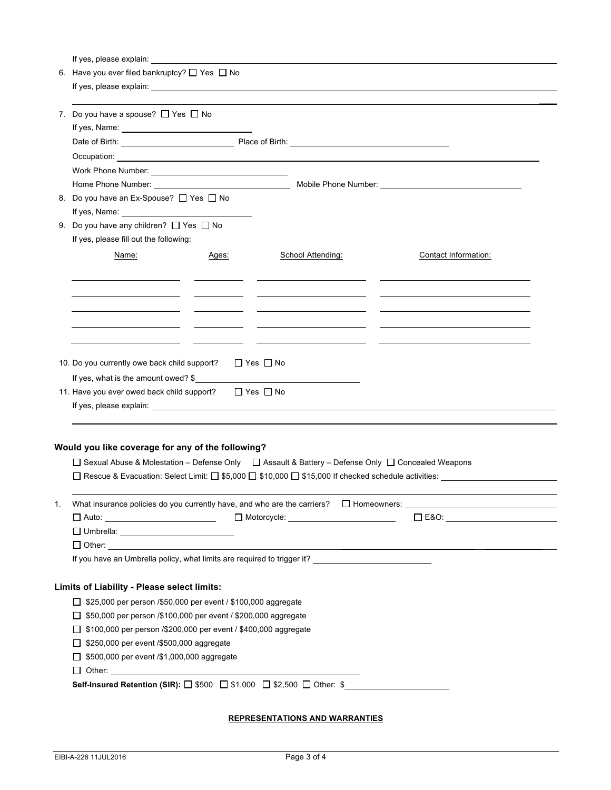If yes, please explain:

|                                                                    | oo, piouoo oxpiumi.                                                                                                                                                                                                                 |       |                                                                                                                                                                                                                                |                                                                                                      |  |  |  |  |
|--------------------------------------------------------------------|-------------------------------------------------------------------------------------------------------------------------------------------------------------------------------------------------------------------------------------|-------|--------------------------------------------------------------------------------------------------------------------------------------------------------------------------------------------------------------------------------|------------------------------------------------------------------------------------------------------|--|--|--|--|
|                                                                    | 6. Have you ever filed bankruptcy? $\Box$ Yes $\Box$ No                                                                                                                                                                             |       |                                                                                                                                                                                                                                |                                                                                                      |  |  |  |  |
|                                                                    |                                                                                                                                                                                                                                     |       | If yes, please explain: example and a series of the state of the state of the state of the state of the state of the state of the state of the state of the state of the state of the state of the state of the state of the s |                                                                                                      |  |  |  |  |
|                                                                    |                                                                                                                                                                                                                                     |       |                                                                                                                                                                                                                                |                                                                                                      |  |  |  |  |
|                                                                    | 7. Do you have a spouse? $\Box$ Yes $\Box$ No                                                                                                                                                                                       |       |                                                                                                                                                                                                                                |                                                                                                      |  |  |  |  |
|                                                                    |                                                                                                                                                                                                                                     |       |                                                                                                                                                                                                                                |                                                                                                      |  |  |  |  |
|                                                                    |                                                                                                                                                                                                                                     |       |                                                                                                                                                                                                                                |                                                                                                      |  |  |  |  |
|                                                                    |                                                                                                                                                                                                                                     |       |                                                                                                                                                                                                                                |                                                                                                      |  |  |  |  |
|                                                                    | Work Phone Number: View Management Contract Contract Contract Contract Contract Contract Contract Contract Contract Contract Contract Contract Contract Contract Contract Contract Contract Contract Contract Contract Contrac      |       |                                                                                                                                                                                                                                |                                                                                                      |  |  |  |  |
|                                                                    |                                                                                                                                                                                                                                     |       |                                                                                                                                                                                                                                |                                                                                                      |  |  |  |  |
|                                                                    |                                                                                                                                                                                                                                     |       |                                                                                                                                                                                                                                |                                                                                                      |  |  |  |  |
|                                                                    | 8. Do you have an Ex-Spouse? □ Yes □ No                                                                                                                                                                                             |       |                                                                                                                                                                                                                                |                                                                                                      |  |  |  |  |
|                                                                    |                                                                                                                                                                                                                                     |       |                                                                                                                                                                                                                                |                                                                                                      |  |  |  |  |
|                                                                    | 9. Do you have any children? □ Yes □ No                                                                                                                                                                                             |       |                                                                                                                                                                                                                                |                                                                                                      |  |  |  |  |
|                                                                    | If yes, please fill out the following:                                                                                                                                                                                              |       |                                                                                                                                                                                                                                |                                                                                                      |  |  |  |  |
|                                                                    | Name:                                                                                                                                                                                                                               | Ages: | School Attending:                                                                                                                                                                                                              | Contact Information:                                                                                 |  |  |  |  |
|                                                                    |                                                                                                                                                                                                                                     |       |                                                                                                                                                                                                                                |                                                                                                      |  |  |  |  |
|                                                                    |                                                                                                                                                                                                                                     |       |                                                                                                                                                                                                                                |                                                                                                      |  |  |  |  |
|                                                                    |                                                                                                                                                                                                                                     |       |                                                                                                                                                                                                                                |                                                                                                      |  |  |  |  |
|                                                                    |                                                                                                                                                                                                                                     |       |                                                                                                                                                                                                                                | <u> 1999 - Jan James James, francuski politik (d. 1989)</u>                                          |  |  |  |  |
|                                                                    |                                                                                                                                                                                                                                     |       |                                                                                                                                                                                                                                |                                                                                                      |  |  |  |  |
|                                                                    |                                                                                                                                                                                                                                     |       |                                                                                                                                                                                                                                |                                                                                                      |  |  |  |  |
|                                                                    |                                                                                                                                                                                                                                     |       |                                                                                                                                                                                                                                |                                                                                                      |  |  |  |  |
|                                                                    | 10. Do you currently owe back child support?                                                                                                                                                                                        |       | $\Box$ Yes $\Box$ No                                                                                                                                                                                                           |                                                                                                      |  |  |  |  |
|                                                                    | If yes, what is the amount owed? \$                                                                                                                                                                                                 |       |                                                                                                                                                                                                                                |                                                                                                      |  |  |  |  |
|                                                                    |                                                                                                                                                                                                                                     |       |                                                                                                                                                                                                                                |                                                                                                      |  |  |  |  |
| 11. Have you ever owed back child support?<br>$\Box$ Yes $\Box$ No |                                                                                                                                                                                                                                     |       |                                                                                                                                                                                                                                |                                                                                                      |  |  |  |  |
|                                                                    |                                                                                                                                                                                                                                     |       |                                                                                                                                                                                                                                |                                                                                                      |  |  |  |  |
|                                                                    |                                                                                                                                                                                                                                     |       |                                                                                                                                                                                                                                |                                                                                                      |  |  |  |  |
|                                                                    |                                                                                                                                                                                                                                     |       |                                                                                                                                                                                                                                |                                                                                                      |  |  |  |  |
|                                                                    | Would you like coverage for any of the following?                                                                                                                                                                                   |       |                                                                                                                                                                                                                                |                                                                                                      |  |  |  |  |
|                                                                    |                                                                                                                                                                                                                                     |       | □ Sexual Abuse & Molestation - Defense Only □ Assault & Battery - Defense Only □ Concealed Weapons                                                                                                                             |                                                                                                      |  |  |  |  |
|                                                                    |                                                                                                                                                                                                                                     |       |                                                                                                                                                                                                                                | □ Rescue & Evacuation: Select Limit: □ \$5,000 □ \$10,000 □ \$15,000 If checked schedule activities: |  |  |  |  |
|                                                                    |                                                                                                                                                                                                                                     |       |                                                                                                                                                                                                                                |                                                                                                      |  |  |  |  |
| 1.                                                                 | What insurance policies do you currently have, and who are the carriers?                                                                                                                                                            |       |                                                                                                                                                                                                                                | $\Box$ Homeowners:                                                                                   |  |  |  |  |
|                                                                    | $\Box$ Auto: ________________________________                                                                                                                                                                                       |       |                                                                                                                                                                                                                                | $\square$ E&O: $\qquad \qquad \qquad$                                                                |  |  |  |  |
|                                                                    |                                                                                                                                                                                                                                     |       |                                                                                                                                                                                                                                |                                                                                                      |  |  |  |  |
|                                                                    |                                                                                                                                                                                                                                     |       |                                                                                                                                                                                                                                |                                                                                                      |  |  |  |  |
|                                                                    |                                                                                                                                                                                                                                     |       | If you have an Umbrella policy, what limits are required to trigger it? ___________________________                                                                                                                            |                                                                                                      |  |  |  |  |
|                                                                    |                                                                                                                                                                                                                                     |       |                                                                                                                                                                                                                                |                                                                                                      |  |  |  |  |
|                                                                    |                                                                                                                                                                                                                                     |       |                                                                                                                                                                                                                                |                                                                                                      |  |  |  |  |
|                                                                    | Limits of Liability - Please select limits:                                                                                                                                                                                         |       |                                                                                                                                                                                                                                |                                                                                                      |  |  |  |  |
|                                                                    | □ \$25,000 per person /\$50,000 per event / \$100,000 aggregate                                                                                                                                                                     |       |                                                                                                                                                                                                                                |                                                                                                      |  |  |  |  |
|                                                                    | \$50,000 per person /\$100,000 per event / \$200,000 aggregate                                                                                                                                                                      |       |                                                                                                                                                                                                                                |                                                                                                      |  |  |  |  |
|                                                                    | \$100,000 per person /\$200,000 per event / \$400,000 aggregate<br>ப                                                                                                                                                                |       |                                                                                                                                                                                                                                |                                                                                                      |  |  |  |  |
|                                                                    | \$250,000 per event /\$500,000 aggregate                                                                                                                                                                                            |       |                                                                                                                                                                                                                                |                                                                                                      |  |  |  |  |
|                                                                    | \$500,000 per event /\$1,000,000 aggregate                                                                                                                                                                                          |       |                                                                                                                                                                                                                                |                                                                                                      |  |  |  |  |
|                                                                    | ப<br>Other: experience and the contract of the contract of the contract of the contract of the contract of the contract of the contract of the contract of the contract of the contract of the contract of the contract of the cont |       |                                                                                                                                                                                                                                |                                                                                                      |  |  |  |  |
|                                                                    |                                                                                                                                                                                                                                     |       | Self-Insured Retention (SIR): □ \$500 □ \$1,000 □ \$2,500 □ Other: \$                                                                                                                                                          |                                                                                                      |  |  |  |  |
|                                                                    |                                                                                                                                                                                                                                     |       |                                                                                                                                                                                                                                |                                                                                                      |  |  |  |  |

## **REPRESENTATIONS AND WARRANTIES**